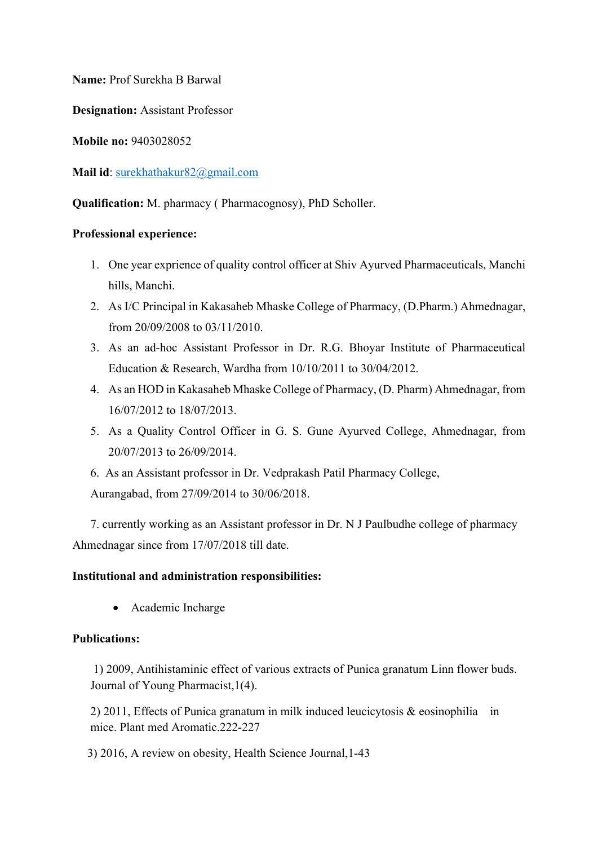**Name:** Prof Surekha B Barwal

**Designation:** Assistant Professor

**Mobile no:** 9403028052

**Mail id**: [surekhathakur82@gmail.com](mailto:surekhathakur82@gmail.com)

**Qualification:** M. pharmacy ( Pharmacognosy), PhD Scholler.

## **Professional experience:**

- 1. One year exprience of quality control officer at Shiv Ayurved Pharmaceuticals, Manchi hills, Manchi.
- 2. As I/C Principal in Kakasaheb Mhaske College of Pharmacy, (D.Pharm.) Ahmednagar, from 20/09/2008 to 03/11/2010.
- 3. As an ad-hoc Assistant Professor in Dr. R.G. Bhoyar Institute of Pharmaceutical Education & Research, Wardha from 10/10/2011 to 30/04/2012.
- 4. As an HOD in Kakasaheb Mhaske College of Pharmacy, (D. Pharm) Ahmednagar, from 16/07/2012 to 18/07/2013.
- 5. As a Quality Control Officer in G. S. Gune Ayurved College, Ahmednagar, from 20/07/2013 to 26/09/2014.
- 6. As an Assistant professor in Dr. Vedprakash Patil Pharmacy College, Aurangabad, from 27/09/2014 to 30/06/2018.

 7. currently working as an Assistant professor in Dr. N J Paulbudhe college of pharmacy Ahmednagar since from 17/07/2018 till date.

## **Institutional and administration responsibilities:**

Academic Incharge

## **Publications:**

 1) 2009, Antihistaminic effect of various extracts of Punica granatum Linn flower buds. Journal of Young Pharmacist,1(4).

2) 2011, Effects of Punica granatum in milk induced leucicytosis & eosinophilia in mice. Plant med Aromatic.222-227

3) 2016, A review on obesity, Health Science Journal,1-43